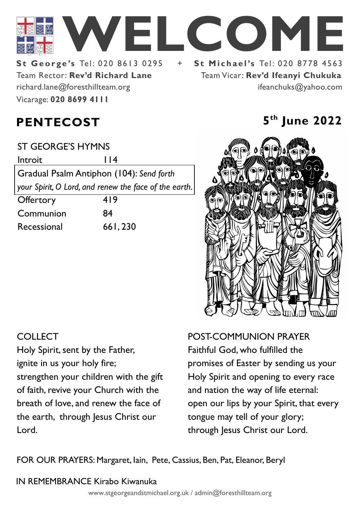

Team Rector: **Rev'd Richard Lane**  Vicarage: **020 8699 4111**  richard.lane@foresthillteam.org

**St George's Tel: 020 8613 0295 + St Michael's Tel: 020 8778 4563** Team Vicar: **Rev'd Ifeanyi Chukuka** ifeanchuks@yahoo.com

# **PENTECOST 5**

ST GEORGE'S HYMNS

Introit 114

Gradual Psalm Antiphon (104): *Send forth your Spirit, O Lord, and renew the face of the earth.* 

Offertory 419 Communion 84 Recessional 661, 230

# **th June 2022**



# **COLLECT**

Holy Spirit, sent by the Father, ignite in us your holy fire; strengthen your children with the gift of faith, revive your Church with the breath of love, and renew the face of the earth, through Jesus Christ our Lord.

POST-COMMUNION PRAYER Faithful God, who fulfilled the promises of Easter by sending us your Holy Spirit and opening to every race and nation the way of life eternal: open our lips by your Spirit, that every tongue may tell of your glory; through Jesus Christ our Lord.

FOR OUR PRAYERS: Margaret, Iain, Pete, Cassius, Ben, Pat, Eleanor, Beryl

## IN REMEMBRANCE Kirabo Kiwanuka

www.stgeorgeandstmichael.org.uk / admin@foresthillteam.org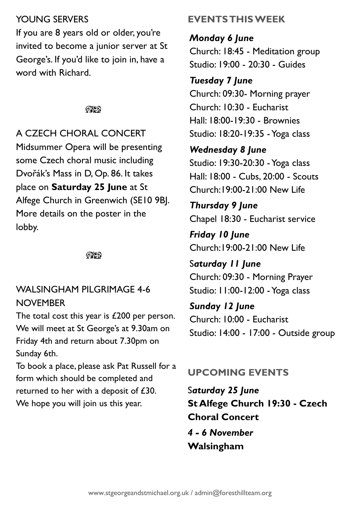#### YOUNG SERVERS

If you are 8 years old or older, you're invited to become a junior server at St George's. If you'd like to join in, have a word with Richard.

#### ೧೪೧

A CZECH CHORAL CONCERT Midsummer Opera will be presenting some Czech choral music including Dvořák's Mass in D, Op. 86. It takes place on **Saturday 25 June** at St Alfege Church in Greenwich (SE10 9BJ. More details on the poster in the lobby.

೧೪೧

#### WALSINGHAM PILGRIMAGE 4-6 **NOVEMBER**

The total cost this year is £200 per person. We will meet at St George's at 9.30am on Friday 4th and return about 7.30pm on Sunday 6th.

To book a place, please ask Pat Russell for a form which should be completed and returned to her with a deposit of £30. We hope you will join us this year.

## **EVENTS THIS WEEK**

*Monday 6 June*

Church: 18:45 - Meditation group Studio: 19:00 - 20:30 - Guides

#### *Tuesday 7 June*

Church: 09:30- Morning prayer Church: 10:30 - Eucharist Hall: 18:00-19:30 - Brownies Studio: 18:20-19:35 -Yoga class

#### *Wednesday 8 June*

Studio: 19:30-20:30 - Yoga class Hall: 18:00 - Cubs, 20:00 - Scouts Church:19:00-21:00 New Life

# *Thursday 9 June*

Chapel 18:30 - Eucharist service

*Friday 10 June* Church:19:00-21:00 New Life

S*aturday 11 June* Church: 09:30 - Morning Prayer Studio: 11:00-12:00 -Yoga class

*Sunday 12 June* Church: 10:00 - Eucharist Studio: 14:00 - 17:00 - Outside group

## **UPCOMING EVENTS**

S*aturday 25 June* **St Alfege Church 19:30 - Czech Choral Concert** *4 - 6 November* 

#### **Walsingham**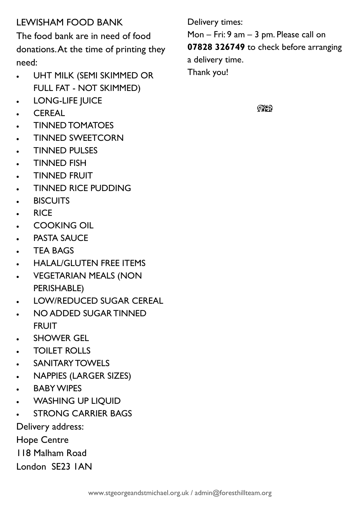# LEWISHAM FOOD BANK

The food bank are in need of food donations. At the time of printing they need:

- UHT MILK (SEMI SKIMMED OR FULL FAT - NOT SKIMMED)
- LONG-LIFE JUICE
- CEREAL
- TINNED TOMATOES
- TINNED SWEETCORN
- TINNED PULSES
- TINNED FISH
- TINNED FRUIT
- TINNED RICE PUDDING
- BISCUITS
- RICE
- COOKING OIL
- **PASTA SAUCE**
- TEA BAGS
- HALAL/GLUTEN FREE ITEMS
- VEGETARIAN MEALS (NON PERISHABLE)
- LOW/REDUCED SUGAR CEREAL
- NO ADDED SUGAR TINNED FRUIT
- **SHOWER GEL**
- TOILET ROLLS
- SANITARY TOWELS
- NAPPIES (LARGER SIZES)
- BABY WIPES
- WASHING UP LIQUID
- **STRONG CARRIER BAGS**

Delivery address:

Hope Centre

118 Malham Road

London SE23 1AN

Delivery times: Mon – Fri: 9 am – 3 pm. Please call on **07828 326749** to check before arranging a delivery time. Thank you!

 $Q\chi$